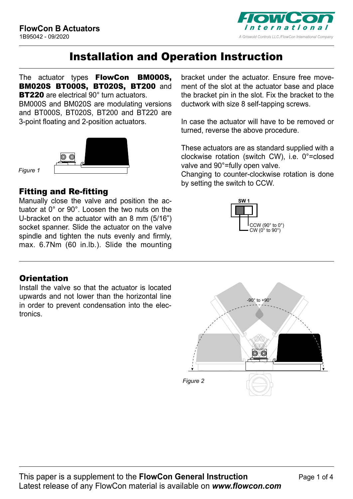

# Installation and Operation Instruction

The actuator types **FlowCon BM000S.** BM020S BT000S, BT020S, BT200 and BT220 are electrical 90° turn actuators.

BM000S and BM020S are modulating versions and BT000S, BT020S, BT200 and BT220 are 3-point floating and 2-position actuators.



*Figure 1*

### Fitting and Re-fitting

**FlowCon BT0X0S** tuator at 0° or 90°. Loosen the two nuts on the spindle and tighten the nuts evenly and firmly, Manually close the valve and position the ac-U-bracket on the actuator with an 8 mm (5/16") socket spanner. Slide the actuator on the valve max. 6.7Nm (60 in.lb.). Slide the mounting

### **Orientation**

Install the valve so that the actuator is located upwards and not lower than the horizontal line in order to prevent condensation into the electronics.

bracket under the actuator. Ensure free movement of the slot at the actuator base and place the bracket pin in the slot. Fix the bracket to the ductwork with size 8 self-tapping screws.

In case the actuator will have to be removed or turned, reverse the above procedure.

These actuators are as standard supplied with a clockwise rotation (switch CW), i.e. 0°=closed valve and 90°=fully open valve.

Changing to counter-clockwise rotation is done by setting the switch to CCW.



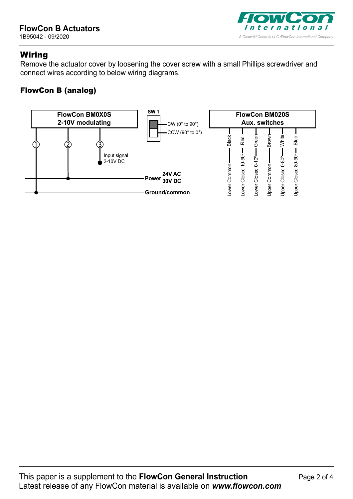

## **Wiring**

Remove the actuator cover by loosening the cover screw with a small Phillips screwdriver and connect wires according to below wiring diagrams.

### FlowCon B (analog)

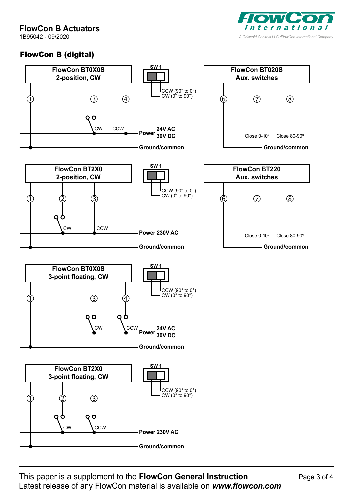# **FlowCon B Actuators**

1B95042 - 09/2020



### FlowCon B (digital)